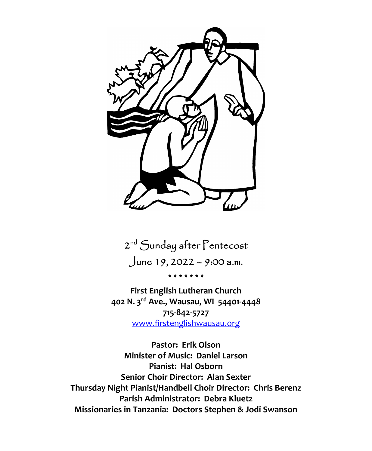

2<sup>nd</sup> Sunday after Pentecost June 19, 2022 – 9:00 a.m. \* \* \* \* \* \* \*

**First English Lutheran Church 402 N. 3rd Ave., Wausau, WI 54401-4448 715-842-5727** [www.firstenglishwausau.org](about:blank)

**Pastor: Erik Olson Minister of Music: Daniel Larson Pianist: Hal Osborn Senior Choir Director: Alan Sexter Thursday Night Pianist/Handbell Choir Director: Chris Berenz Parish Administrator: Debra Kluetz Missionaries in Tanzania: Doctors Stephen & Jodi Swanson**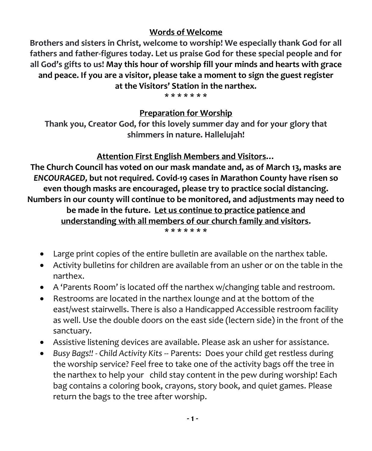#### **Words of Welcome**

**Brothers and sisters in Christ, welcome to worship! We especially thank God for all fathers and father-figures today. Let us praise God for these special people and for all God's gifts to us! May this hour of worship fill your minds and hearts with grace and peace. If you are a visitor, please take a moment to sign the guest register at the Visitors' Station in the narthex.**

**\* \* \* \* \* \* \***

#### **Preparation for Worship**

**Thank you, Creator God, for this lovely summer day and for your glory that shimmers in nature. Hallelujah!**

#### **Attention First English Members and Visitors…**

**The Church Council has voted on our mask mandate and, as of March 13, masks are**  *ENCOURAGED,* **but not required. Covid-19 cases in Marathon County have risen so even though masks are encouraged, please try to practice social distancing. Numbers in our county will continue to be monitored, and adjustments may need to be made in the future. Let us continue to practice patience and understanding with all members of our church family and visitors. \* \* \* \* \* \* \***

- Large print copies of the entire bulletin are available on the narthex table.
- Activity bulletins for children are available from an usher or on the table in the narthex.
- A 'Parents Room' is located off the narthex w/changing table and restroom.
- Restrooms are located in the narthex lounge and at the bottom of the east/west stairwells. There is also a Handicapped Accessible restroom facility as well. Use the double doors on the east side (lectern side) in the front of the sanctuary.
- Assistive listening devices are available. Please ask an usher for assistance.
- *Busy Bags!! - Child Activity Kits* -- Parents: Does your child get restless during the worship service? Feel free to take one of the activity bags off the tree in the narthex to help your child stay content in the pew during worship! Each bag contains a coloring book, crayons, story book, and quiet games. Please return the bags to the tree after worship.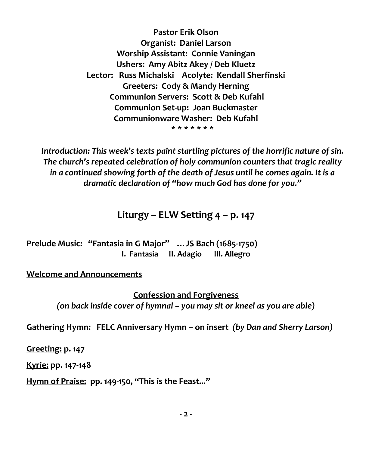**Pastor Erik Olson Organist: Daniel Larson Worship Assistant: Connie Vaningan Ushers: Amy Abitz Akey / Deb Kluetz Lector: Russ Michalski Acolyte: Kendall Sherfinski Greeters: Cody & Mandy Herning Communion Servers: Scott & Deb Kufahl Communion Set-up: Joan Buckmaster Communionware Washer: Deb Kufahl \* \* \* \* \* \* \***

*Introduction: This week's texts paint startling pictures of the horrific nature of sin.*  The church's repeated celebration of holy communion counters that tragic reality *in a continued showing forth of the death of Jesus until he comes again. It is a dramatic declaration of "how much God has done for you."*

# **Liturgy – ELW Setting 4 – p. 147**

**Prelude Music: "Fantasia in G Major" …JS Bach (1685-1750) I. Fantasia II. Adagio III. Allegro**

#### **Welcome and Announcements**

**Confession and Forgiveness** *(on back inside cover of hymnal – you may sit or kneel as you are able)*

**Gathering Hymn: FELC Anniversary Hymn – on insert** *(by Dan and Sherry Larson)*

**Greeting: p. 147**

**Kyrie: pp. 147-148**

**Hymn of Praise: pp. 149-150, "This is the Feast..."**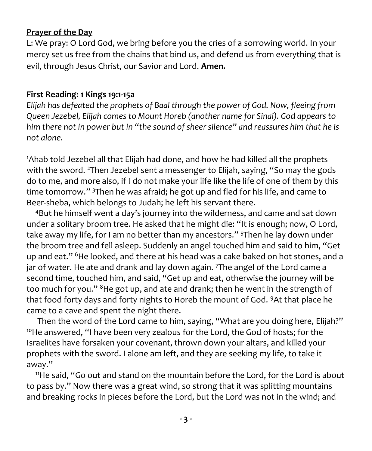#### **Prayer of the Day**

L: We pray: O Lord God, we bring before you the cries of a sorrowing world. In your mercy set us free from the chains that bind us, and defend us from everything that is evil, through Jesus Christ, our Savior and Lord. **Amen.**

#### **First Reading: 1 Kings 19:1-15a**

*Elijah has defeated the prophets of Baal through the power of God. Now, fleeing from Queen Jezebel, Elijah comes to Mount Horeb (another name for Sinai). God appears to him there not in power but in "the sound of sheer silence" and reassures him that he is not alone.*

<sup>1</sup>Ahab told Jezebel all that Elijah had done, and how he had killed all the prophets with the sword. <sup>2</sup>Then Jezebel sent a messenger to Elijah, saying, "So may the gods do to me, and more also, if I do not make your life like the life of one of them by this time tomorrow." <sup>3</sup>Then he was afraid; he got up and fled for his life, and came to Beer-sheba, which belongs to Judah; he left his servant there.

<sup>4</sup>But he himself went a day's journey into the wilderness, and came and sat down under a solitary broom tree. He asked that he might die: "It is enough; now, O Lord, take away my life, for I am no better than my ancestors." <sup>5</sup>Then he lay down under the broom tree and fell asleep. Suddenly an angel touched him and said to him, "Get up and eat." <sup>6</sup>He looked, and there at his head was a cake baked on hot stones, and a jar of water. He ate and drank and lay down again. 7The angel of the Lord came a second time, touched him, and said, "Get up and eat, otherwise the journey will be too much for you." <sup>8</sup>He got up, and ate and drank; then he went in the strength of that food forty days and forty nights to Horeb the mount of God. <sup>9</sup>At that place he came to a cave and spent the night there.

Then the word of the Lord came to him, saying, "What are you doing here, Elijah?" <sup>10</sup>He answered, "I have been very zealous for the Lord, the God of hosts; for the Israelites have forsaken your covenant, thrown down your altars, and killed your prophets with the sword. I alone am left, and they are seeking my life, to take it away."

<sup>11</sup>He said, "Go out and stand on the mountain before the Lord, for the Lord is about to pass by." Now there was a great wind, so strong that it was splitting mountains and breaking rocks in pieces before the Lord, but the Lord was not in the wind; and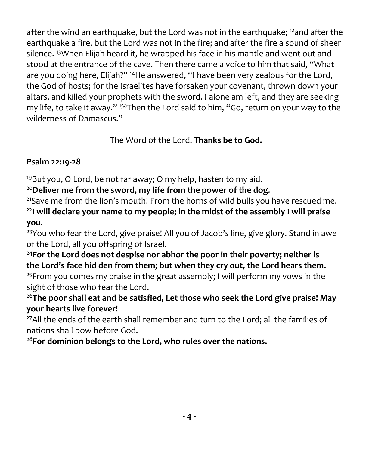after the wind an earthquake, but the Lord was not in the earthquake; <sup>12</sup>and after the earthquake a fire, but the Lord was not in the fire; and after the fire a sound of sheer silence. <sup>13</sup>When Elijah heard it, he wrapped his face in his mantle and went out and stood at the entrance of the cave. Then there came a voice to him that said, "What are you doing here, Elijah?" <sup>14</sup>He answered, "I have been very zealous for the Lord, the God of hosts; for the Israelites have forsaken your covenant, thrown down your altars, and killed your prophets with the sword. I alone am left, and they are seeking my life, to take it away." <sup>15a</sup>Then the Lord said to him, "Go, return on your way to the wilderness of Damascus."

The Word of the Lord. **Thanks be to God.**

## **Psalm 22:19-28**

<sup>19</sup>But you, O Lord, be not far away; O my help, hasten to my aid.

<sup>20</sup>**Deliver me from the sword, my life from the power of the dog.**

 $21$ Save me from the lion's mouth! From the horns of wild bulls you have rescued me.

<sup>22</sup>**I will declare your name to my people; in the midst of the assembly I will praise you.**

<sup>23</sup>You who fear the Lord, give praise! All you of Jacob's line, give glory. Stand in awe of the Lord, all you offspring of Israel.

<sup>24</sup>**For the Lord does not despise nor abhor the poor in their poverty; neither is the Lord's face hid den from them; but when they cry out, the Lord hears them.** <sup>25</sup> From you comes my praise in the great assembly; I will perform my vows in the sight of those who fear the Lord.

<sup>26</sup>**The poor shall eat and be satisfied, Let those who seek the Lord give praise! May your hearts live forever!**

 $27$ All the ends of the earth shall remember and turn to the Lord; all the families of nations shall bow before God.

<sup>28</sup>**For dominion belongs to the Lord, who rules over the nations.**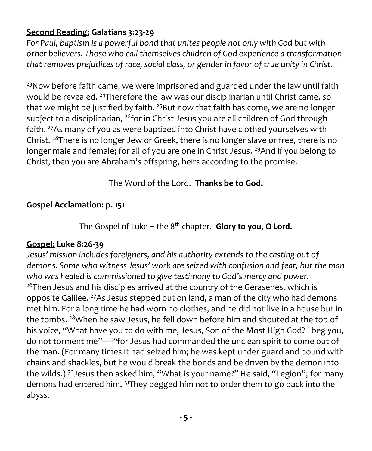## **Second Reading: Galatians 3:23-29**

*For Paul, baptism is a powerful bond that unites people not only with God but with other believers. Those who call themselves children of God experience a transformation that removes prejudices of race, social class, or gender in favor of true unity in Christ.*

 $23$ Now before faith came, we were imprisoned and guarded under the law until faith would be revealed. <sup>24</sup>Therefore the law was our disciplinarian until Christ came, so that we might be justified by faith. <sup>25</sup>But now that faith has come, we are no longer subject to a disciplinarian, <sup>26</sup>for in Christ Jesus you are all children of God through faith. <sup>27</sup>As many of you as were baptized into Christ have clothed yourselves with Christ. <sup>28</sup>There is no longer Jew or Greek, there is no longer slave or free, there is no longer male and female; for all of you are one in Christ Jesus. <sup>29</sup>And if you belong to Christ, then you are Abraham's offspring, heirs according to the promise.

# The Word of the Lord. **Thanks be to God.**

# **Gospel Acclamation: p. 151**

The Gospel of Luke – the 8<sup>th</sup> chapter. Glory to you, O Lord.

# **Gospel: Luke 8:26-39**

*Jesus' mission includes foreigners, and his authority extends to the casting out of demons. Some who witness Jesus' work are seized with confusion and fear, but the man who was healed is commissioned to give testimony to God's mercy and power.* <sup>26</sup>Then Jesus and his disciples arrived at the country of the Gerasenes, which is opposite Galilee. <sup>27</sup>As Jesus stepped out on land, a man of the city who had demons met him. For a long time he had worn no clothes, and he did not live in a house but in the tombs. <sup>28</sup>When he saw Jesus, he fell down before him and shouted at the top of his voice, "What have you to do with me, Jesus, Son of the Most High God? I beg you, do not torment me"—<sup>29</sup>for Jesus had commanded the unclean spirit to come out of the man. (For many times it had seized him; he was kept under guard and bound with chains and shackles, but he would break the bonds and be driven by the demon into the wilds.) <sup>30</sup>Jesus then asked him, "What is your name?" He said, "Legion"; for many demons had entered him. <sup>31</sup>They begged him not to order them to go back into the abyss.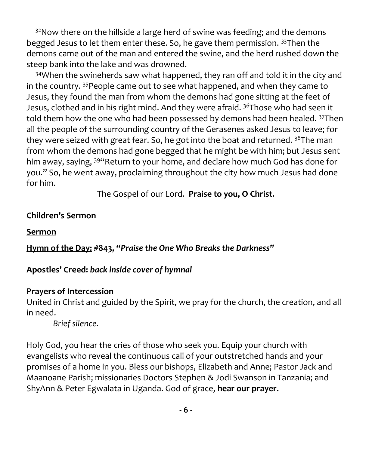<sup>32</sup>Now there on the hillside a large herd of swine was feeding; and the demons begged Jesus to let them enter these. So, he gave them permission. <sup>33</sup>Then the demons came out of the man and entered the swine, and the herd rushed down the steep bank into the lake and was drowned.

 $34$ When the swineherds saw what happened, they ran off and told it in the city and in the country. <sup>35</sup>People came out to see what happened, and when they came to Jesus, they found the man from whom the demons had gone sitting at the feet of Jesus, clothed and in his right mind. And they were afraid. <sup>36</sup>Those who had seen it told them how the one who had been possessed by demons had been healed. <sup>37</sup>Then all the people of the surrounding country of the Gerasenes asked Jesus to leave; for they were seized with great fear. So, he got into the boat and returned.  $38$ The man from whom the demons had gone begged that he might be with him; but Jesus sent him away, saying, <sup>394</sup> Return to your home, and declare how much God has done for you." So, he went away, proclaiming throughout the city how much Jesus had done for him.

The Gospel of our Lord. **Praise to you, O Christ.**

#### **Children's Sermon**

**Sermon**

**Hymn of the Day: #843,** *"Praise the One Who Breaks the Darkness"*

## **Apostles' Creed:** *back inside cover of hymnal*

## **Prayers of Intercession**

United in Christ and guided by the Spirit, we pray for the church, the creation, and all in need.

*Brief silence.*

Holy God, you hear the cries of those who seek you. Equip your church with evangelists who reveal the continuous call of your outstretched hands and your promises of a home in you. Bless our bishops, Elizabeth and Anne; Pastor Jack and Maanoane Parish; missionaries Doctors Stephen & Jodi Swanson in Tanzania; and ShyAnn & Peter Egwalata in Uganda. God of grace, **hear our prayer.**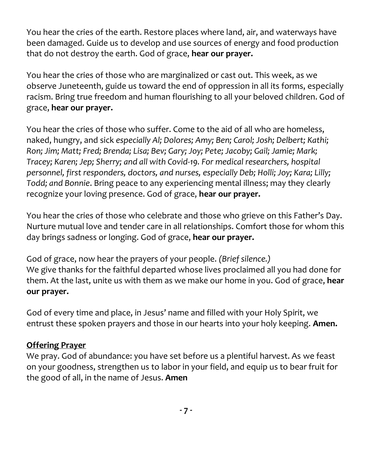You hear the cries of the earth. Restore places where land, air, and waterways have been damaged. Guide us to develop and use sources of energy and food production that do not destroy the earth. God of grace, **hear our prayer.**

You hear the cries of those who are marginalized or cast out. This week, as we observe Juneteenth, guide us toward the end of oppression in all its forms, especially racism. Bring true freedom and human flourishing to all your beloved children. God of grace, **hear our prayer.**

You hear the cries of those who suffer. Come to the aid of all who are homeless, naked, hungry, and sick *especially Al; Dolores; Amy; Ben; Carol; Josh; Delbert; Kathi; Ron; Jim; Matt; Fred; Brenda; Lisa; Bev; Gary; Joy; Pete; Jacoby; Gail; Jamie; Mark; Tracey; Karen; Jep; Sherry; and all with Covid-19. For medical researchers, hospital personnel, first responders, doctors, and nurses, especially Deb; Holli; Joy; Kara; Lilly; Todd; and Bonnie*. Bring peace to any experiencing mental illness; may they clearly recognize your loving presence. God of grace, **hear our prayer.**

You hear the cries of those who celebrate and those who grieve on this Father's Day. Nurture mutual love and tender care in all relationships. Comfort those for whom this day brings sadness or longing. God of grace, **hear our prayer.**

God of grace, now hear the prayers of your people. *(Brief silence.)* We give thanks for the faithful departed whose lives proclaimed all you had done for them. At the last, unite us with them as we make our home in you. God of grace, **hear our prayer.**

God of every time and place, in Jesus' name and filled with your Holy Spirit, we entrust these spoken prayers and those in our hearts into your holy keeping. **Amen.**

## **Offering Prayer**

We pray. God of abundance: you have set before us a plentiful harvest. As we feast on your goodness, strengthen us to labor in your field, and equip us to bear fruit for the good of all, in the name of Jesus. **Amen**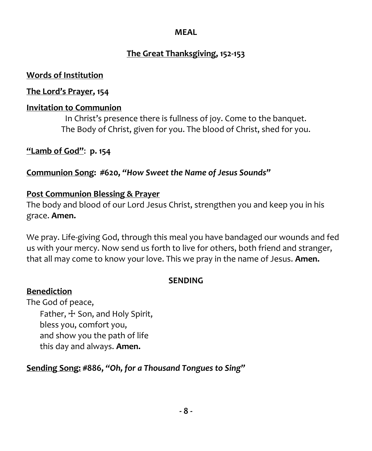#### **MEAL**

# **The Great Thanksgiving, 152-153**

## **Words of Institution**

## **The Lord's Prayer, 154**

# **Invitation to Communion**

In Christ's presence there is fullness of joy. Come to the banquet. The Body of Christ, given for you. The blood of Christ, shed for you.

**"Lamb of God"**: **p. 154**

**Communion Song: #620,** *"How Sweet the Name of Jesus Sounds"*

## **Post Communion Blessing & Prayer**

The body and blood of our Lord Jesus Christ, strengthen you and keep you in his grace. **Amen.**

We pray. Life-giving God, through this meal you have bandaged our wounds and fed us with your mercy. Now send us forth to live for others, both friend and stranger, that all may come to know your love. This we pray in the name of Jesus. **Amen.**

## **SENDING**

## **Benediction**

The God of peace, Father,  $\pm$  Son, and Holy Spirit, bless you, comfort you, and show you the path of life this day and always. **Amen.**

# **Sending Song: #886,** *"Oh, for a Thousand Tongues to Sing"*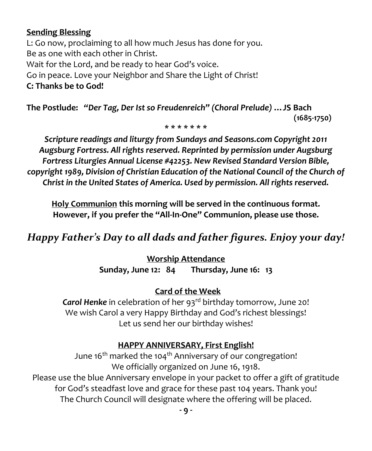#### **Sending Blessing**

L: Go now, proclaiming to all how much Jesus has done for you. Be as one with each other in Christ. Wait for the Lord, and be ready to hear God's voice. Go in peace. Love your Neighbor and Share the Light of Christ! **C: Thanks be to God!**

**The Postlude:** *"Der Tag, Der Ist so Freudenreich" (Choral Prelude)* **…JS Bach (1685-1750)** 

**\* \* \* \* \* \* \***

*Scripture readings and liturgy from Sundays and Seasons.com Copyright 2011 Augsburg Fortress. All rights reserved. Reprinted by permission under Augsburg Fortress Liturgies Annual License #42253. New Revised Standard Version Bible, copyright 1989, Division of Christian Education of the National Council of the Church of Christ in the United States of America. Used by permission. All rights reserved.*

**Holy Communion this morning will be served in the continuous format. However, if you prefer the "All-In-One" Communion, please use those.**

# *Happy Father's Day to all dads and father figures. Enjoy your day!*

**Worship Attendance Sunday, June 12: 84 Thursday, June 16: 13** 

# **Card of the Week**

Carol Henke in celebration of her 93<sup>rd</sup> birthday tomorrow, June 20! We wish Carol a very Happy Birthday and God's richest blessings! Let us send her our birthday wishes!

# **HAPPY ANNIVERSARY, First English!**

June 16<sup>th</sup> marked the 104<sup>th</sup> Anniversary of our congregation! We officially organized on June 16, 1918.

Please use the blue Anniversary envelope in your packet to offer a gift of gratitude for God's steadfast love and grace for these past 104 years. Thank you! The Church Council will designate where the offering will be placed.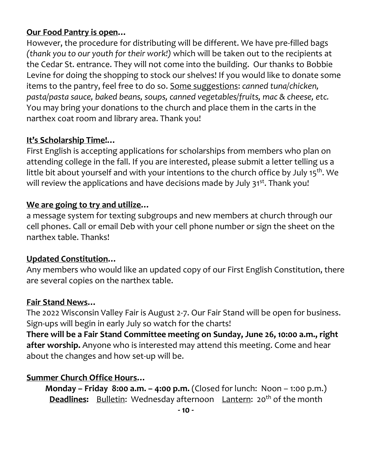#### **Our Food Pantry is open…**

However, the procedure for distributing will be different. We have pre-filled bags *(thank you to our youth for their work!)* which will be taken out to the recipients at the Cedar St. entrance. They will not come into the building. Our thanks to Bobbie Levine for doing the shopping to stock our shelves! If you would like to donate some items to the pantry, feel free to do so. Some suggestions: *canned tuna/chicken, pasta/pasta sauce, baked beans, soups, canned vegetables/fruits, mac & cheese, etc.* You may bring your donations to the church and place them in the carts in the narthex coat room and library area. Thank you!

#### **It's Scholarship Time!…**

First English is accepting applications for scholarships from members who plan on attending college in the fall. If you are interested, please submit a letter telling us a little bit about yourself and with your intentions to the church office by July 15<sup>th</sup>. We will review the applications and have decisions made by July 31<sup>st</sup>. Thank you!

#### **We are going to try and utilize…**

a message system for texting subgroups and new members at church through our cell phones. Call or email Deb with your cell phone number or sign the sheet on the narthex table. Thanks!

#### **Updated Constitution…**

Any members who would like an updated copy of our First English Constitution, there are several copies on the narthex table.

#### **Fair Stand News…**

The 2022 Wisconsin Valley Fair is August 2-7. Our Fair Stand will be open for business. Sign-ups will begin in early July so watch for the charts!

**There will be a Fair Stand Committee meeting on Sunday, June 26, 10:00 a.m., right after worship.** Anyone who is interested may attend this meeting. Come and hear about the changes and how set-up will be.

#### **Summer Church Office Hours…**

**Monday – Friday 8:00 a.m. – 4:00 p.m.** (Closed for lunch: Noon – 1:00 p.m.) **Deadlines:** Bulletin: Wednesday afternoon Lantern: 20<sup>th</sup> of the month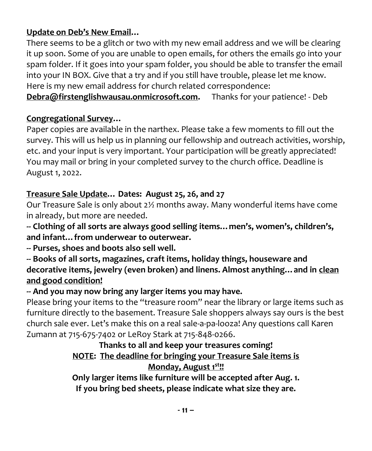## **Update on Deb's New Email…**

There seems to be a glitch or two with my new email address and we will be clearing it up soon. Some of you are unable to open emails, for others the emails go into your spam folder. If it goes into your spam folder, you should be able to transfer the email into your IN BOX. Give that a try and if you still have trouble, please let me know. Here is my new email address for church related correspondence:

**[Debra@firstenglishwausau.onmicrosoft.com.](about:blank)** Thanks for your patience! - Deb

# **Congregational Survey…**

Paper copies are available in the narthex. Please take a few moments to fill out the survey. This will us help us in planning our fellowship and outreach activities, worship, etc. and your input is very important. Your participation will be greatly appreciated! You may mail or bring in your completed survey to the church office. Deadline is August 1, 2022.

## **Treasure Sale Update… Dates: August 25, 26, and 27**

Our Treasure Sale is only about 2½ months away. Many wonderful items have come in already, but more are needed.

**-- Clothing of all sorts are always good selling items…men's, women's, children's, and infant…from underwear to outerwear.** 

**-- Purses, shoes and boots also sell well.**

**-- Books of all sorts, magazines, craft items, holiday things, houseware and decorative items, jewelry (even broken) and linens. Almost anything…and in clean and good condition!**

## **-- And you may now bring any larger items you may have.**

Please bring your items to the "treasure room" near the library or large items such as furniture directly to the basement. Treasure Sale shoppers always say ours is the best church sale ever. Let's make this on a real sale-a-pa-looza! Any questions call Karen Zumann at 715-675-7402 or LeRoy Stark at 715-848-0266.

## **Thanks to all and keep your treasures coming! NOTE: The deadline for bringing your Treasure Sale items is Monday, August 1st!!**

**Only larger items like furniture will be accepted after Aug. 1. If you bring bed sheets, please indicate what size they are.**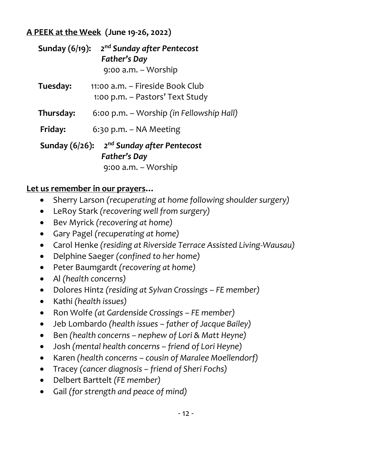#### **A PEEK at the Week (June 19-26, 2022)**

| Sunday $(6/19)$ :                                                           | 2 <sup>nd</sup> Sunday after Pentecost<br>Father's Day<br>9:00 a.m. - Worship |
|-----------------------------------------------------------------------------|-------------------------------------------------------------------------------|
| Tuesday:                                                                    | 11:00 a.m. – Fireside Book Club<br>1:00 p.m. – Pastors' Text Study            |
| Thursday:                                                                   | 6:00 p.m. – Worship (in Fellowship Hall)                                      |
| Friday:                                                                     | $6:30$ p.m. – NA Meeting                                                      |
| 2 <sup>nd</sup> Sunday after Pentecost<br>Sunday $(6/26)$ :<br>Father's Day |                                                                               |
| 9:00 a.m. - Worship                                                         |                                                                               |

## **Let us remember in our prayers…**

- Sherry Larson *(recuperating at home following shoulder surgery)*
- LeRoy Stark *(recovering well from surgery)*
- Bev Myrick *(recovering at home)*
- Gary Pagel *(recuperating at home)*
- Carol Henke *(residing at Riverside Terrace Assisted Living-Wausau)*
- Delphine Saeger *(confined to her home)*
- Peter Baumgardt *(recovering at home)*
- Al *(health concerns)*
- Dolores Hintz *(residing at Sylvan Crossings – FE member)*
- Kathi *(health issues)*
- Ron Wolfe *(at Gardenside Crossings – FE member)*
- Jeb Lombardo *(health issues – father of Jacque Bailey)*
- Ben *(health concerns – nephew of Lori & Matt Heyne)*
- Josh *(mental health concerns – friend of Lori Heyne)*
- Karen *(health concerns – cousin of Maralee Moellendorf)*
- Tracey *(cancer diagnosis – friend of Sheri Fochs)*
- Delbert Barttelt *(FE member)*
- Gail *(for strength and peace of mind)*